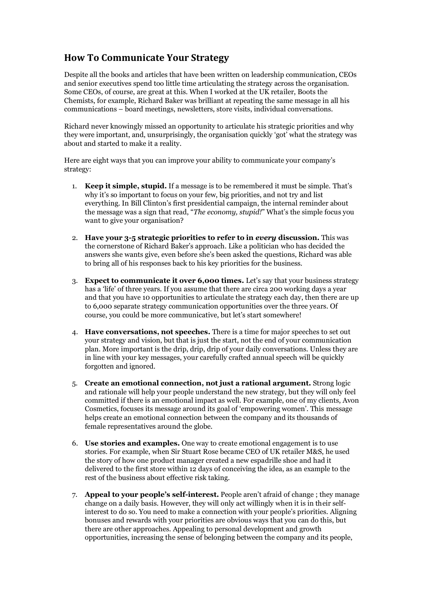## **How To Communicate Your Strategy**

Despite all the books and articles that have been written on leadership communication, CEOs and senior executives spend too little time articulating the strategy across the organisation. Some CEOs, of course, are great at this. When I worked at the UK retailer, Boots the Chemists, for example, Richard Baker was brilliant at repeating the same message in all his communications – board meetings, newsletters, store visits, individual conversations.

Richard never knowingly missed an opportunity to articulate his strategic priorities and why they were important, and, unsurprisingly, the organisation quickly 'got' what the strategy was about and started to make it a reality.

Here are eight ways that you can improve your ability to communicate your company's strategy:

- 1. **Keep it simple, stupid.** If a message is to be remembered it must be simple. That's why it's so important to focus on your few, big priorities, and not try and list everything. In Bill Clinton's first presidential campaign, the internal reminder about the message was a sign that read, "*The economy, stupid!*" What's the simple focus you want to give your organisation?
- 2. **Have your 3-5 strategic priorities to refer to in** *every* **discussion.** This was the cornerstone of Richard Baker's approach. Like a politician who has decided the answers she wants give, even before she's been asked the questions, Richard was able to bring all of his responses back to his key priorities for the business.
- 3. **Expect to communicate it over 6,000 times.** Let's say that your business strategy has a 'life' of three years. If you assume that there are circa 200 working days a year and that you have 10 opportunities to articulate the strategy each day, then there are up to 6,000 separate strategy communication opportunities over the three years. Of course, you could be more communicative, but let's start somewhere!
- 4. **Have conversations, not speeches.** There is a time for major speeches to set out your strategy and vision, but that is just the start, not the end of your communication plan. More important is the drip, drip, drip of your daily conversations. Unless they are in line with your key messages, your carefully crafted annual speech will be quickly forgotten and ignored.
- 5. **Create an emotional connection, not just a rational argument.** Strong logic and rationale will help your people understand the new strategy, but they will only feel committed if there is an emotional impact as well. For example, one of my clients, Avon Cosmetics, focuses its message around its goal of 'empowering women'. This message helps create an emotional connection between the company and its thousands of female representatives around the globe.
- 6. **Use stories and examples.** One way to create emotional engagement is to use stories. For example, when Sir Stuart Rose became CEO of UK retailer M&S, he used the story of how one product manager created a new espadrille shoe and had it delivered to the first store within 12 days of conceiving the idea, as an example to the rest of the business about effective risk taking.
- 7. **Appeal to your people's self-interest.** People aren't afraid of change ; they manage change on a daily basis. However, they will only act willingly when it is in their selfinterest to do so. You need to make a connection with your people's priorities. Aligning bonuses and rewards with your priorities are obvious ways that you can do this, but there are other approaches. Appealing to personal development and growth opportunities, increasing the sense of belonging between the company and its people,